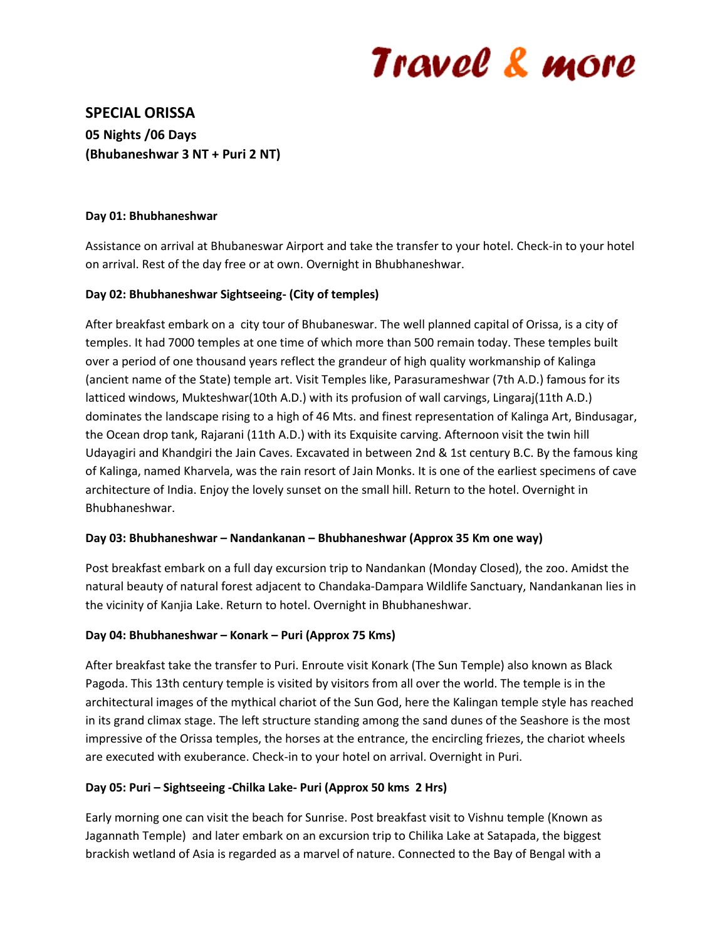# Travel & more

**SPECIAL ORISSA 05 Nights /06 Days (Bhubaneshwar 3 NT + Puri 2 NT)**

#### **Day 01: Bhubhaneshwar**

Assistance on arrival at Bhubaneswar Airport and take the transfer to your hotel. Check-in to your hotel on arrival. Rest of the day free or at own. Overnight in Bhubhaneshwar.

### **Day 02: Bhubhaneshwar Sightseeing- (City of temples)**

After breakfast embark on a city tour of Bhubaneswar. The well planned capital of Orissa, is a city of temples. It had 7000 temples at one time of which more than 500 remain today. These temples built over a period of one thousand years reflect the grandeur of high quality workmanship of Kalinga (ancient name of the State) temple art. Visit Temples like, Parasurameshwar (7th A.D.) famous for its latticed windows, Mukteshwar(10th A.D.) with its profusion of wall carvings, Lingaraj(11th A.D.) dominates the landscape rising to a high of 46 Mts. and finest representation of Kalinga Art, Bindusagar, the Ocean drop tank, Rajarani (11th A.D.) with its Exquisite carving. Afternoon visit the twin hill Udayagiri and Khandgiri the Jain Caves. Excavated in between 2nd & 1st century B.C. By the famous king of Kalinga, named Kharvela, was the rain resort of Jain Monks. It is one of the earliest specimens of cave architecture of India. Enjoy the lovely sunset on the small hill. Return to the hotel. Overnight in Bhubhaneshwar.

#### **Day 03: Bhubhaneshwar – Nandankanan – Bhubhaneshwar (Approx 35 Km one way)**

Post breakfast embark on a full day excursion trip to Nandankan (Monday Closed), the zoo. Amidst the natural beauty of natural forest adjacent to Chandaka-Dampara Wildlife Sanctuary, Nandankanan lies in the vicinity of Kanjia Lake. Return to hotel. Overnight in Bhubhaneshwar.

#### **Day 04: Bhubhaneshwar – Konark – Puri (Approx 75 Kms)**

After breakfast take the transfer to Puri. Enroute visit Konark (The Sun Temple) also known as Black Pagoda. This 13th century temple is visited by visitors from all over the world. The temple is in the architectural images of the mythical chariot of the Sun God, here the Kalingan temple style has reached in its grand climax stage. The left structure standing among the sand dunes of the Seashore is the most impressive of the Orissa temples, the horses at the entrance, the encircling friezes, the chariot wheels are executed with exuberance. Check-in to your hotel on arrival. Overnight in Puri.

#### **Day 05: Puri – Sightseeing -Chilka Lake- Puri (Approx 50 kms 2 Hrs)**

Early morning one can visit the beach for Sunrise. Post breakfast visit to Vishnu temple (Known as Jagannath Temple) and later embark on an excursion trip to Chilika Lake at Satapada, the biggest brackish wetland of Asia is regarded as a marvel of nature. Connected to the Bay of Bengal with a